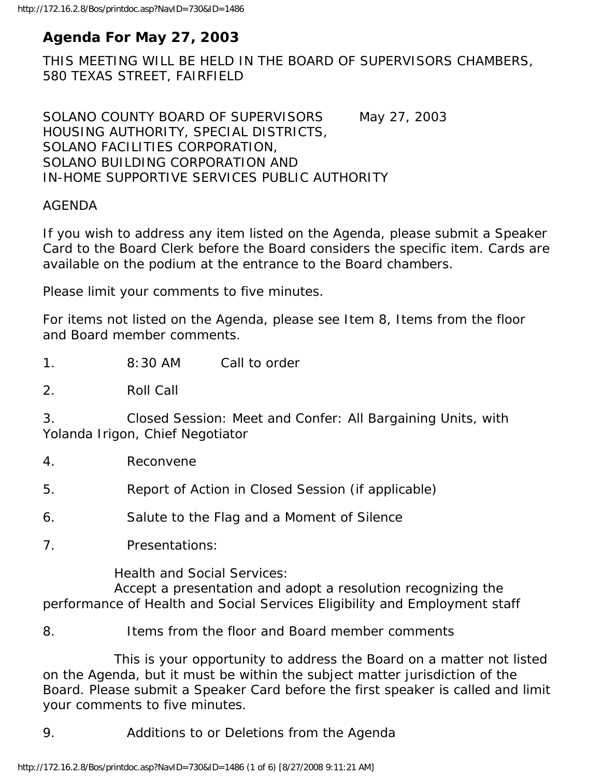# **Agenda For May 27, 2003**

THIS MEETING WILL BE HELD IN THE BOARD OF SUPERVISORS CHAMBERS, 580 TEXAS STREET, FAIRFIELD

SOLANO COUNTY BOARD OF SUPERVISORS May 27, 2003 HOUSING AUTHORITY, SPECIAL DISTRICTS, SOLANO FACILITIES CORPORATION, SOLANO BUILDING CORPORATION AND IN-HOME SUPPORTIVE SERVICES PUBLIC AUTHORITY

#### AGENDA

If you wish to address any item listed on the Agenda, please submit a Speaker Card to the Board Clerk before the Board considers the specific item. Cards are available on the podium at the entrance to the Board chambers.

Please limit your comments to five minutes.

For items not listed on the Agenda, please see Item 8, Items from the floor and Board member comments.

1. 8:30 AM Call to order

2. Roll Call

3. Closed Session: Meet and Confer: All Bargaining Units, with Yolanda Irigon, Chief Negotiator

4. Reconvene

5. Report of Action in Closed Session (if applicable)

6. Salute to the Flag and a Moment of Silence

7. Presentations:

Health and Social Services:

 Accept a presentation and adopt a resolution recognizing the performance of Health and Social Services Eligibility and Employment staff

8. Items from the floor and Board member comments

 This is your opportunity to address the Board on a matter not listed on the Agenda, but it must be within the subject matter jurisdiction of the Board. Please submit a Speaker Card before the first speaker is called and limit your comments to five minutes.

9. Additions to or Deletions from the Agenda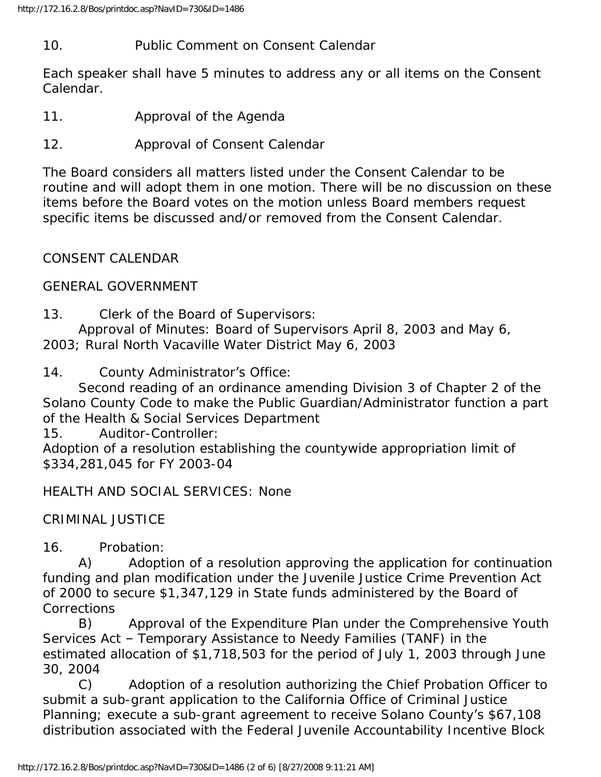#### 10. Public Comment on Consent Calendar

Each speaker shall have 5 minutes to address any or all items on the Consent Calendar.

- 11. Approval of the Agenda
- 12. Approval of Consent Calendar

The Board considers all matters listed under the Consent Calendar to be routine and will adopt them in one motion. There will be no discussion on these items before the Board votes on the motion unless Board members request specific items be discussed and/or removed from the Consent Calendar.

### CONSENT CALENDAR

#### GENERAL GOVERNMENT

13. Clerk of the Board of Supervisors:

 Approval of Minutes: Board of Supervisors April 8, 2003 and May 6, 2003; Rural North Vacaville Water District May 6, 2003

14. County Administrator's Office:

 Second reading of an ordinance amending Division 3 of Chapter 2 of the Solano County Code to make the Public Guardian/Administrator function a part of the Health & Social Services Department

15. Auditor-Controller:

Adoption of a resolution establishing the countywide appropriation limit of \$334,281,045 for FY 2003-04

HEALTH AND SOCIAL SERVICES: None

### CRIMINAL JUSTICE

16. Probation:

 A) Adoption of a resolution approving the application for continuation funding and plan modification under the Juvenile Justice Crime Prevention Act of 2000 to secure \$1,347,129 in State funds administered by the Board of Corrections

 B) Approval of the Expenditure Plan under the Comprehensive Youth Services Act – Temporary Assistance to Needy Families (TANF) in the estimated allocation of \$1,718,503 for the period of July 1, 2003 through June 30, 2004

 C) Adoption of a resolution authorizing the Chief Probation Officer to submit a sub-grant application to the California Office of Criminal Justice Planning; execute a sub-grant agreement to receive Solano County's \$67,108 distribution associated with the Federal Juvenile Accountability Incentive Block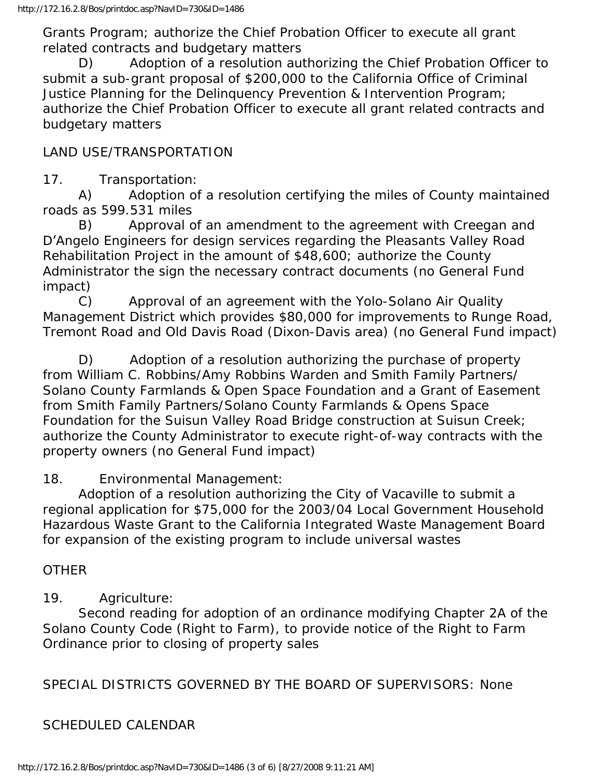Grants Program; authorize the Chief Probation Officer to execute all grant related contracts and budgetary matters

 D) Adoption of a resolution authorizing the Chief Probation Officer to submit a sub-grant proposal of \$200,000 to the California Office of Criminal Justice Planning for the Delinquency Prevention & Intervention Program; authorize the Chief Probation Officer to execute all grant related contracts and budgetary matters

### LAND USE/TRANSPORTATION

17. Transportation:

 A) Adoption of a resolution certifying the miles of County maintained roads as 599.531 miles

 B) Approval of an amendment to the agreement with Creegan and D'Angelo Engineers for design services regarding the Pleasants Valley Road Rehabilitation Project in the amount of \$48,600; authorize the County Administrator the sign the necessary contract documents (no General Fund impact)

 C) Approval of an agreement with the Yolo-Solano Air Quality Management District which provides \$80,000 for improvements to Runge Road, Tremont Road and Old Davis Road (Dixon-Davis area) (no General Fund impact)

 D) Adoption of a resolution authorizing the purchase of property from William C. Robbins/Amy Robbins Warden and Smith Family Partners/ Solano County Farmlands & Open Space Foundation and a Grant of Easement from Smith Family Partners/Solano County Farmlands & Opens Space Foundation for the Suisun Valley Road Bridge construction at Suisun Creek; authorize the County Administrator to execute right-of-way contracts with the property owners (no General Fund impact)

18. Environmental Management:

 Adoption of a resolution authorizing the City of Vacaville to submit a regional application for \$75,000 for the 2003/04 Local Government Household Hazardous Waste Grant to the California Integrated Waste Management Board for expansion of the existing program to include universal wastes

### **OTHER**

## 19. Agriculture:

 Second reading for adoption of an ordinance modifying Chapter 2A of the Solano County Code (Right to Farm), to provide notice of the Right to Farm Ordinance prior to closing of property sales

SPECIAL DISTRICTS GOVERNED BY THE BOARD OF SUPERVISORS: None

## SCHEDULED CALENDAR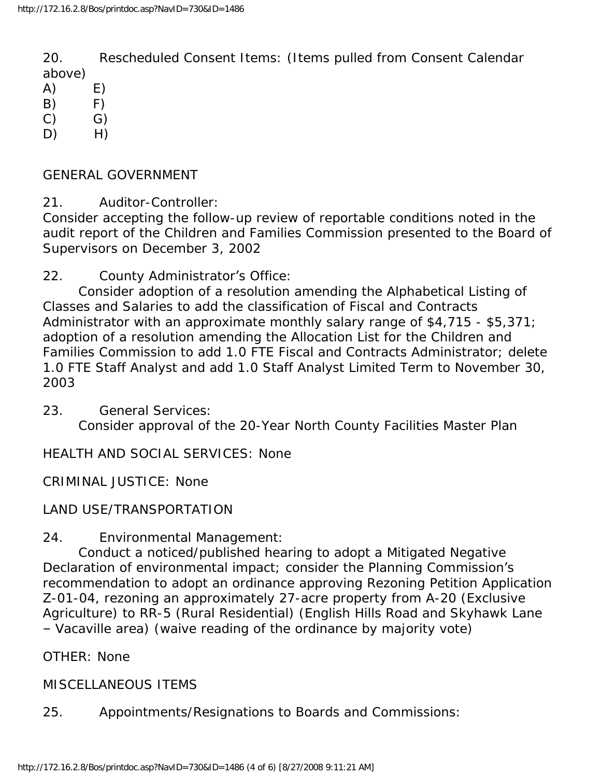20. Rescheduled Consent Items: (Items pulled from Consent Calendar above)

- $(A)$   $E)$
- $(B)$   $F)$
- $(C)$   $G)$
- D) H)
- GENERAL GOVERNMENT
- 21. Auditor-Controller:

Consider accepting the follow-up review of reportable conditions noted in the audit report of the Children and Families Commission presented to the Board of Supervisors on December 3, 2002

22. County Administrator's Office:

 Consider adoption of a resolution amending the Alphabetical Listing of Classes and Salaries to add the classification of Fiscal and Contracts Administrator with an approximate monthly salary range of \$4,715 - \$5,371; adoption of a resolution amending the Allocation List for the Children and Families Commission to add 1.0 FTE Fiscal and Contracts Administrator; delete 1.0 FTE Staff Analyst and add 1.0 Staff Analyst Limited Term to November 30, 2003

23. General Services: Consider approval of the 20-Year North County Facilities Master Plan

HEALTH AND SOCIAL SERVICES: None

CRIMINAL JUSTICE: None

LAND USE/TRANSPORTATION

24. Environmental Management:

 Conduct a noticed/published hearing to adopt a Mitigated Negative Declaration of environmental impact; consider the Planning Commission's recommendation to adopt an ordinance approving Rezoning Petition Application Z-01-04, rezoning an approximately 27-acre property from A-20 (Exclusive Agriculture) to RR-5 (Rural Residential) (English Hills Road and Skyhawk Lane – Vacaville area) (waive reading of the ordinance by majority vote)

OTHER: None

MISCELLANEOUS ITEMS

25. Appointments/Resignations to Boards and Commissions: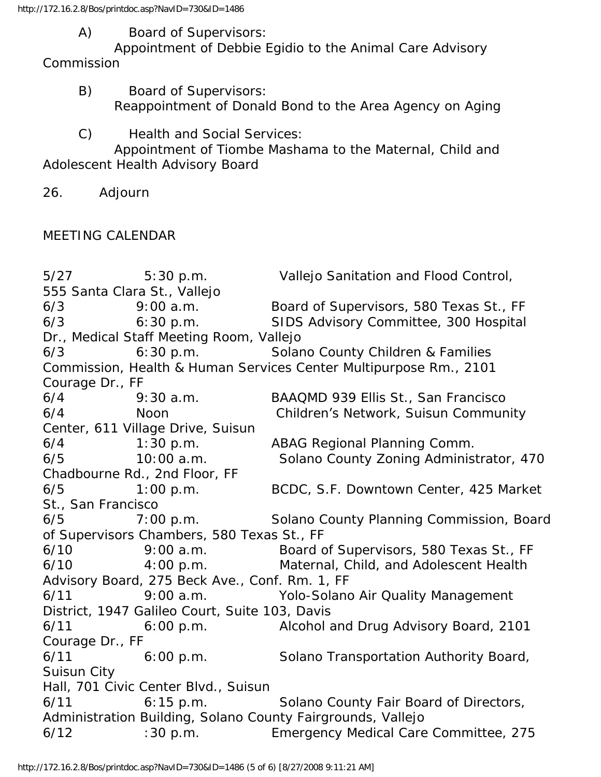http://172.16.2.8/Bos/printdoc.asp?NavID=730&ID=1486

A) Board of Supervisors:

 Appointment of Debbie Egidio to the Animal Care Advisory Commission

- B) Board of Supervisors: Reappointment of Donald Bond to the Area Agency on Aging
- C) Health and Social Services:

 Appointment of Tiombe Mashama to the Maternal, Child and Adolescent Health Advisory Board

26. Adjourn

# MEETING CALENDAR

5/27 5:30 p.m. Vallejo Sanitation and Flood Control, 555 Santa Clara St., Vallejo 6/3 9:00 a.m. Board of Supervisors, 580 Texas St., FF 6/3 6:30 p.m. SIDS Advisory Committee, 300 Hospital Dr., Medical Staff Meeting Room, Vallejo 6/3 6:30 p.m. Solano County Children & Families Commission, Health & Human Services Center Multipurpose Rm., 2101 Courage Dr., FF 6/4 9:30 a.m. BAAQMD 939 Ellis St., San Francisco 6/4 Noon Children's Network, Suisun Community Center, 611 Village Drive, Suisun 6/4 1:30 p.m. ABAG Regional Planning Comm. 6/5 10:00 a.m. Solano County Zoning Administrator, 470 Chadbourne Rd., 2nd Floor, FF 6/5 1:00 p.m. BCDC, S.F. Downtown Center, 425 Market St., San Francisco 6/5 7:00 p.m. Solano County Planning Commission, Board of Supervisors Chambers, 580 Texas St., FF 6/10 9:00 a.m. Board of Supervisors, 580 Texas St., FF 6/10 4:00 p.m. Maternal, Child, and Adolescent Health Advisory Board, 275 Beck Ave., Conf. Rm. 1, FF 6/11 9:00 a.m. Yolo-Solano Air Quality Management District, 1947 Galileo Court, Suite 103, Davis 6/11 6:00 p.m. Alcohol and Drug Advisory Board, 2101 Courage Dr., FF 6/11 6:00 p.m. Solano Transportation Authority Board, Suisun City Hall, 701 Civic Center Blvd., Suisun 6/11 6:15 p.m. Solano County Fair Board of Directors, Administration Building, Solano County Fairgrounds, Vallejo 6/12 :30 p.m. Emergency Medical Care Committee, 275